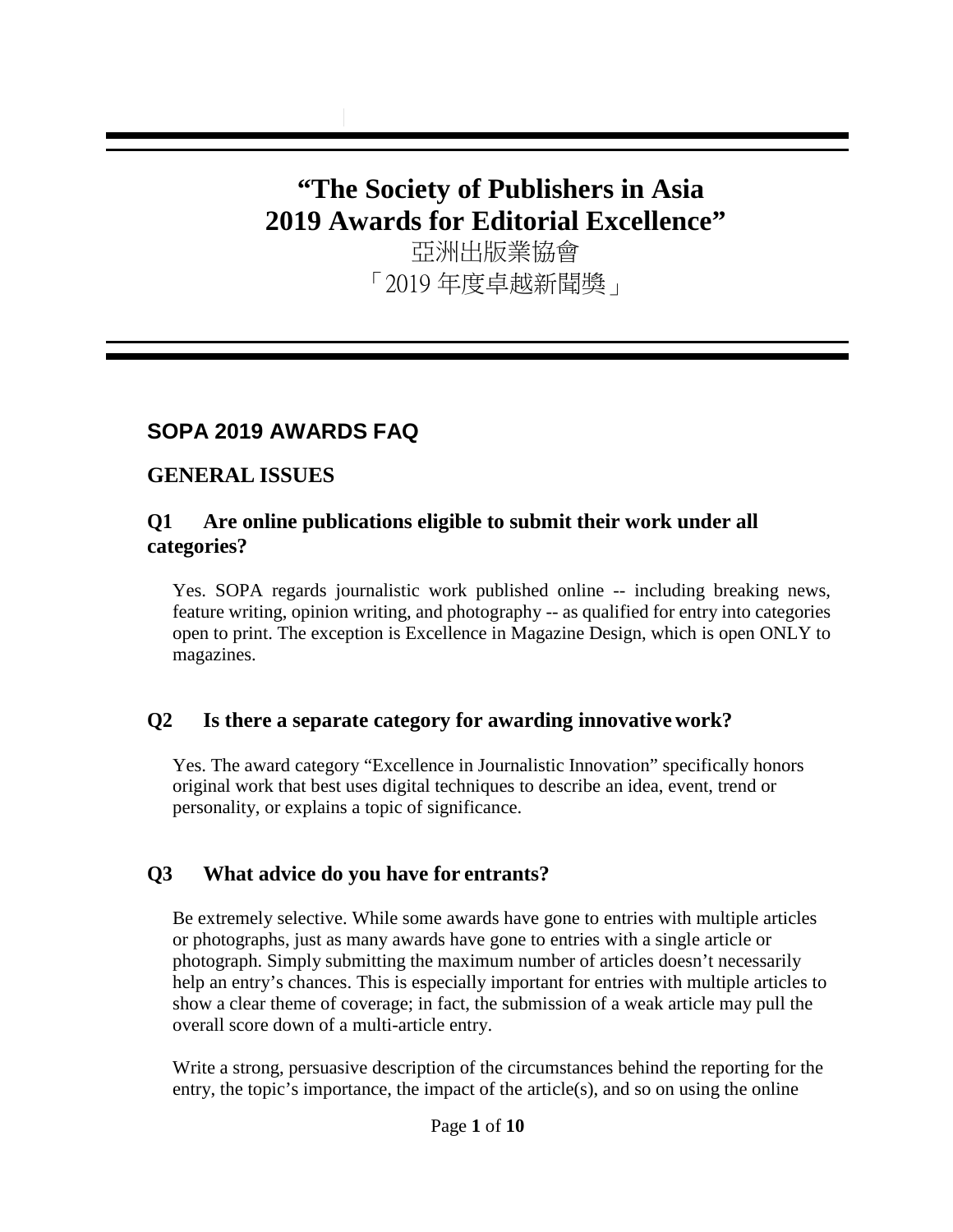# **"The Society of Publishers in Asia 2019 Awards for Editorial Excellence"**

亞洲出版業協會 「2019 年度卓越新聞獎」

# **SOPA 2019 AWARDS FAQ**

# **GENERAL ISSUES**

## **Q1 Are online publications eligible to submit their work under all categories?**

Yes. SOPA regards journalistic work published online -- including breaking news, feature writing, opinion writing, and photography -- as qualified for entry into categories open to print. The exception is Excellence in Magazine Design, which is open ONLY to magazines.

## **Q2 Is there a separate category for awarding innovative work?**

Yes. The award category "Excellence in Journalistic Innovation" specifically honors original work that best uses digital techniques to describe an idea, event, trend or personality, or explains a topic of significance.

# **Q3 What advice do you have for entrants?**

Be extremely selective. While some awards have gone to entries with multiple articles or photographs, just as many awards have gone to entries with a single article or photograph. Simply submitting the maximum number of articles doesn't necessarily help an entry's chances. This is especially important for entries with multiple articles to show a clear theme of coverage; in fact, the submission of a weak article may pull the overall score down of a multi-article entry.

Write a strong, persuasive description of the circumstances behind the reporting for the entry, the topic's importance, the impact of the article(s), and so on using the online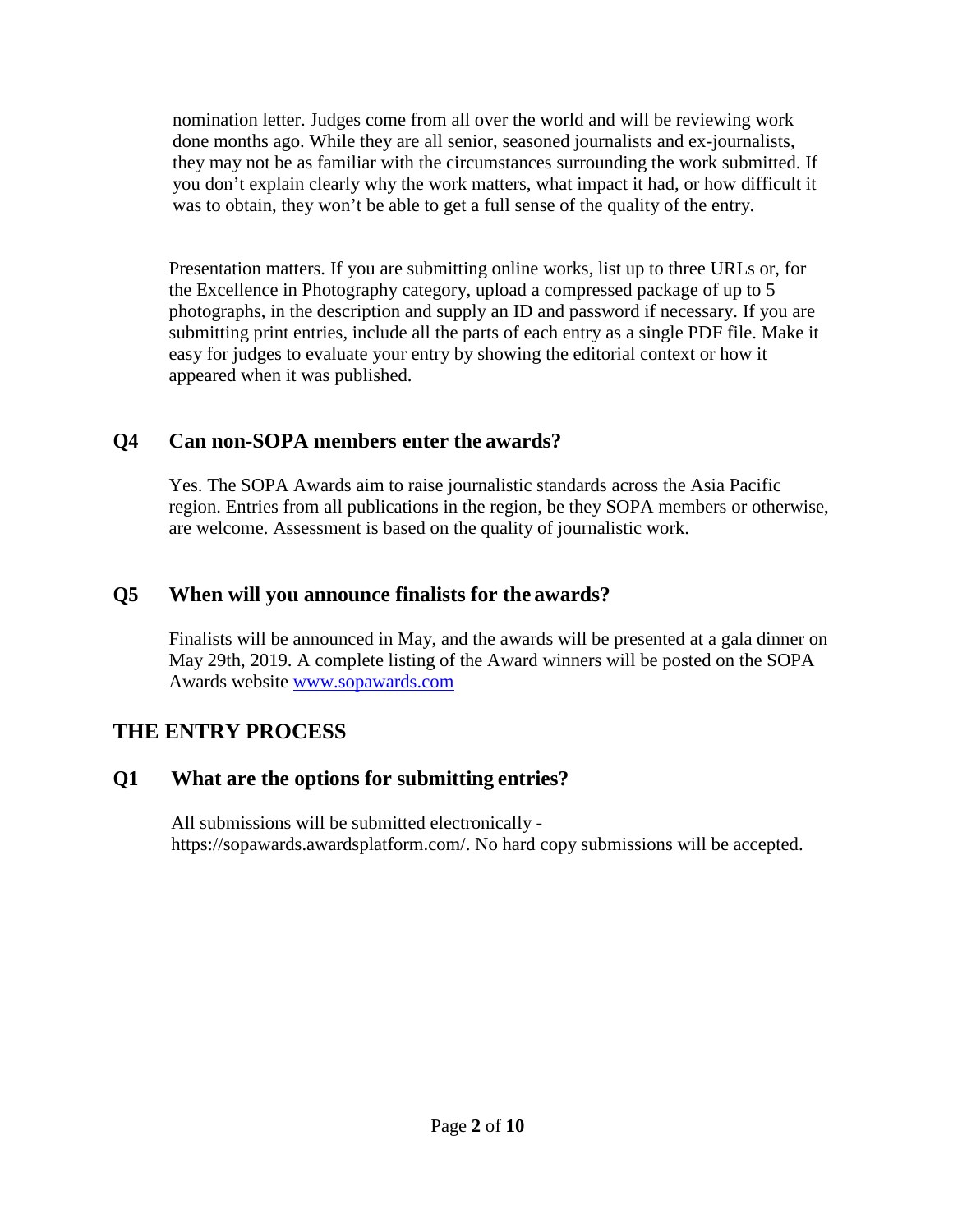nomination letter. Judges come from all over the world and will be reviewing work done months ago. While they are all senior, seasoned journalists and ex-journalists, they may not be as familiar with the circumstances surrounding the work submitted. If you don't explain clearly why the work matters, what impact it had, or how difficult it was to obtain, they won't be able to get a full sense of the quality of the entry.

Presentation matters. If you are submitting online works, list up to three URLs or, for the Excellence in Photography category, upload a compressed package of up to 5 photographs, in the description and supply an ID and password if necessary. If you are submitting print entries, include all the parts of each entry as a single PDF file. Make it easy for judges to evaluate your entry by showing the editorial context or how it appeared when it was published.

## **Q4 Can non-SOPA members enter the awards?**

Yes. The SOPA Awards aim to raise journalistic standards across the Asia Pacific region. Entries from all publications in the region, be they SOPA members or otherwise, are welcome. Assessment is based on the quality of journalistic work.

## **Q5 When will you announce finalists for the awards?**

Finalists will be announced in May, and the awards will be presented at a gala dinner on May 29th, 2019. A complete listing of the Award winners will be posted on the SOPA Awards website [www.sopawards.com](http://www.sopawards.com/)

## **THE ENTRY PROCESS**

## **Q1 What are the options for submitting entries?**

All submissions will be submitted electronically https://sopawards.awardsplatform.com/. No hard copy submissions will be accepted.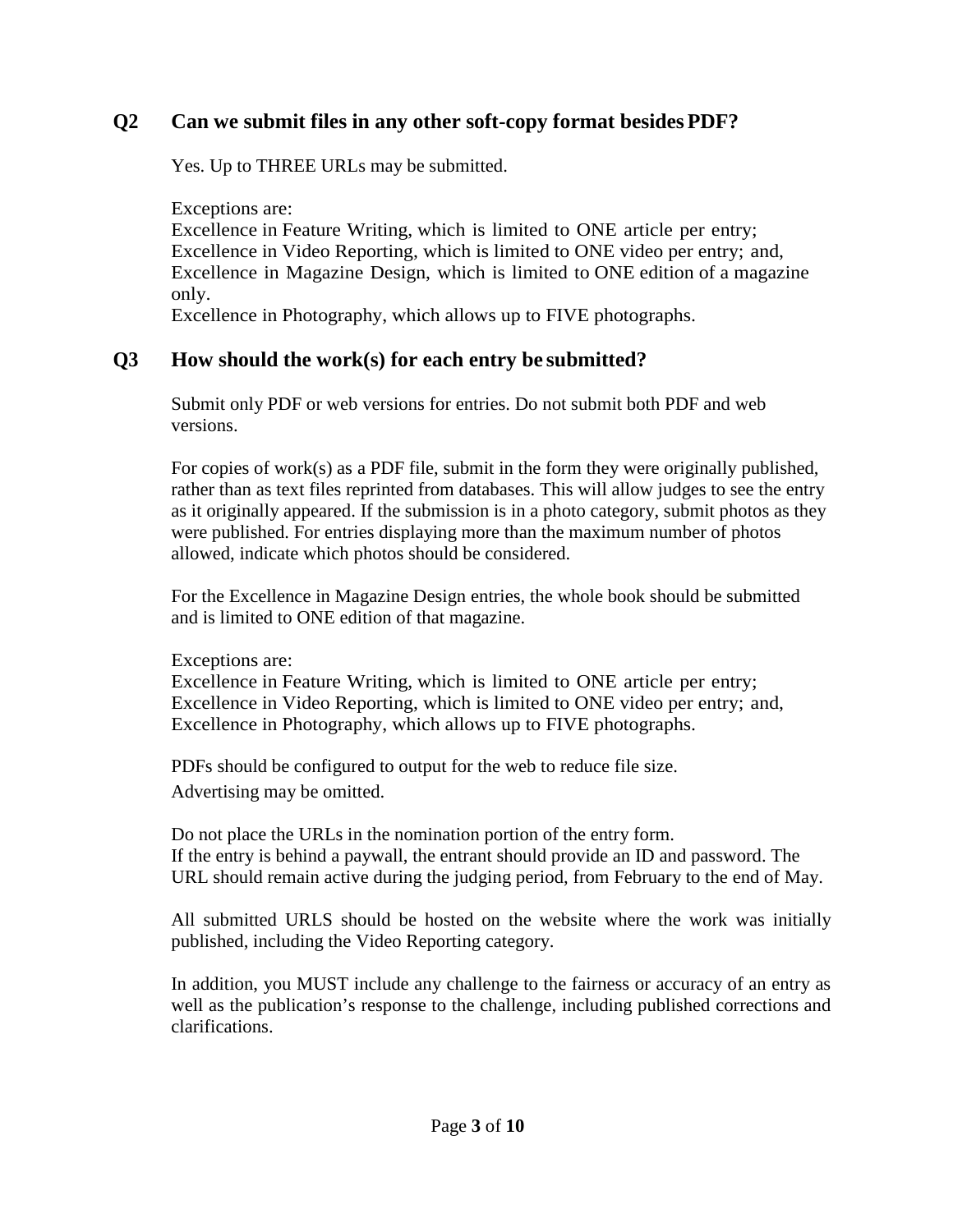## **Q2 Can we submit files in any other soft-copy format besidesPDF?**

Yes. Up to THREE URLs may be submitted.

Exceptions are: Excellence in Feature Writing, which is limited to ONE article per entry; Excellence in Video Reporting, which is limited to ONE video per entry; and, Excellence in Magazine Design, which is limited to ONE edition of a magazine only.

Excellence in Photography, which allows up to FIVE photographs.

## **Q3 How should the work(s) for each entry be submitted?**

Submit only PDF or web versions for entries. Do not submit both PDF and web versions.

For copies of work(s) as a PDF file, submit in the form they were originally published, rather than as text files reprinted from databases. This will allow judges to see the entry as it originally appeared. If the submission is in a photo category, submit photos as they were published. For entries displaying more than the maximum number of photos allowed, indicate which photos should be considered.

For the Excellence in Magazine Design entries, the whole book should be submitted and is limited to ONE edition of that magazine.

Exceptions are:

Excellence in Feature Writing, which is limited to ONE article per entry; Excellence in Video Reporting, which is limited to ONE video per entry; and, Excellence in Photography, which allows up to FIVE photographs.

PDFs should be configured to output for the web to reduce file size. Advertising may be omitted.

Do not place the URLs in the nomination portion of the entry form. If the entry is behind a paywall, the entrant should provide an ID and password. The URL should remain active during the judging period, from February to the end of May.

All submitted URLS should be hosted on the website where the work was initially published, including the Video Reporting category.

In addition, you MUST include any challenge to the fairness or accuracy of an entry as well as the publication's response to the challenge, including published corrections and clarifications.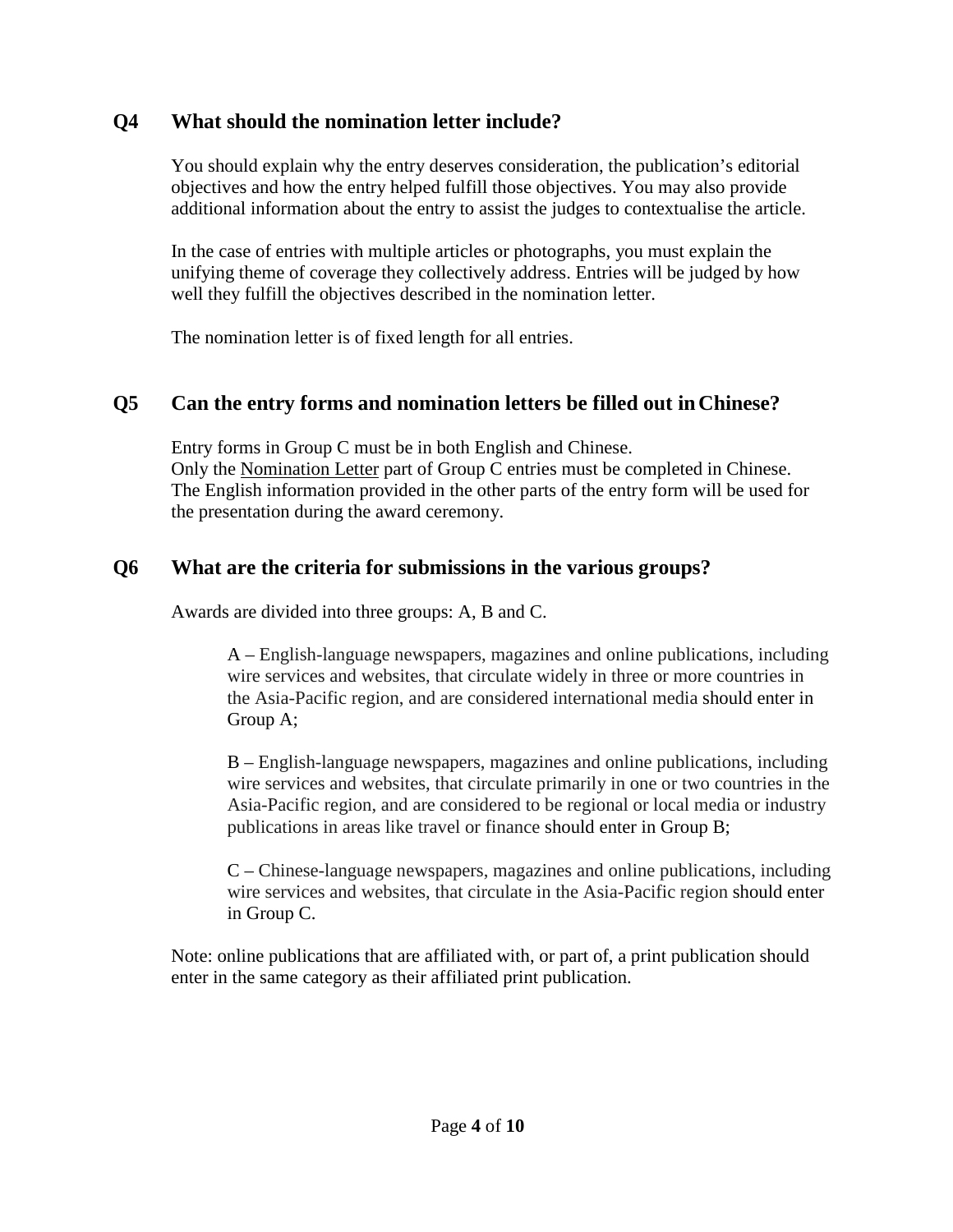## **Q4 What should the nomination letter include?**

You should explain why the entry deserves consideration, the publication's editorial objectives and how the entry helped fulfill those objectives. You may also provide additional information about the entry to assist the judges to contextualise the article.

In the case of entries with multiple articles or photographs, you must explain the unifying theme of coverage they collectively address. Entries will be judged by how well they fulfill the objectives described in the nomination letter.

The nomination letter is of fixed length for all entries.

## **Q5 Can the entry forms and nomination letters be filled out inChinese?**

Entry forms in Group C must be in both English and Chinese. Only the Nomination Letter part of Group C entries must be completed in Chinese. The English information provided in the other parts of the entry form will be used for the presentation during the award ceremony.

#### **Q6 What are the criteria for submissions in the various groups?**

Awards are divided into three groups: A, B and C.

A – English-language newspapers, magazines and online publications, including wire services and websites, that circulate widely in three or more countries in the Asia-Pacific region, and are considered international media should enter in Group A;

B – English-language newspapers, magazines and online publications, including wire services and websites, that circulate primarily in one or two countries in the Asia-Pacific region, and are considered to be regional or local media or industry publications in areas like travel or finance should enter in Group B;

C – Chinese-language newspapers, magazines and online publications, including wire services and websites, that circulate in the Asia-Pacific region should enter in Group C.

Note: online publications that are affiliated with, or part of, a print publication should enter in the same category as their affiliated print publication.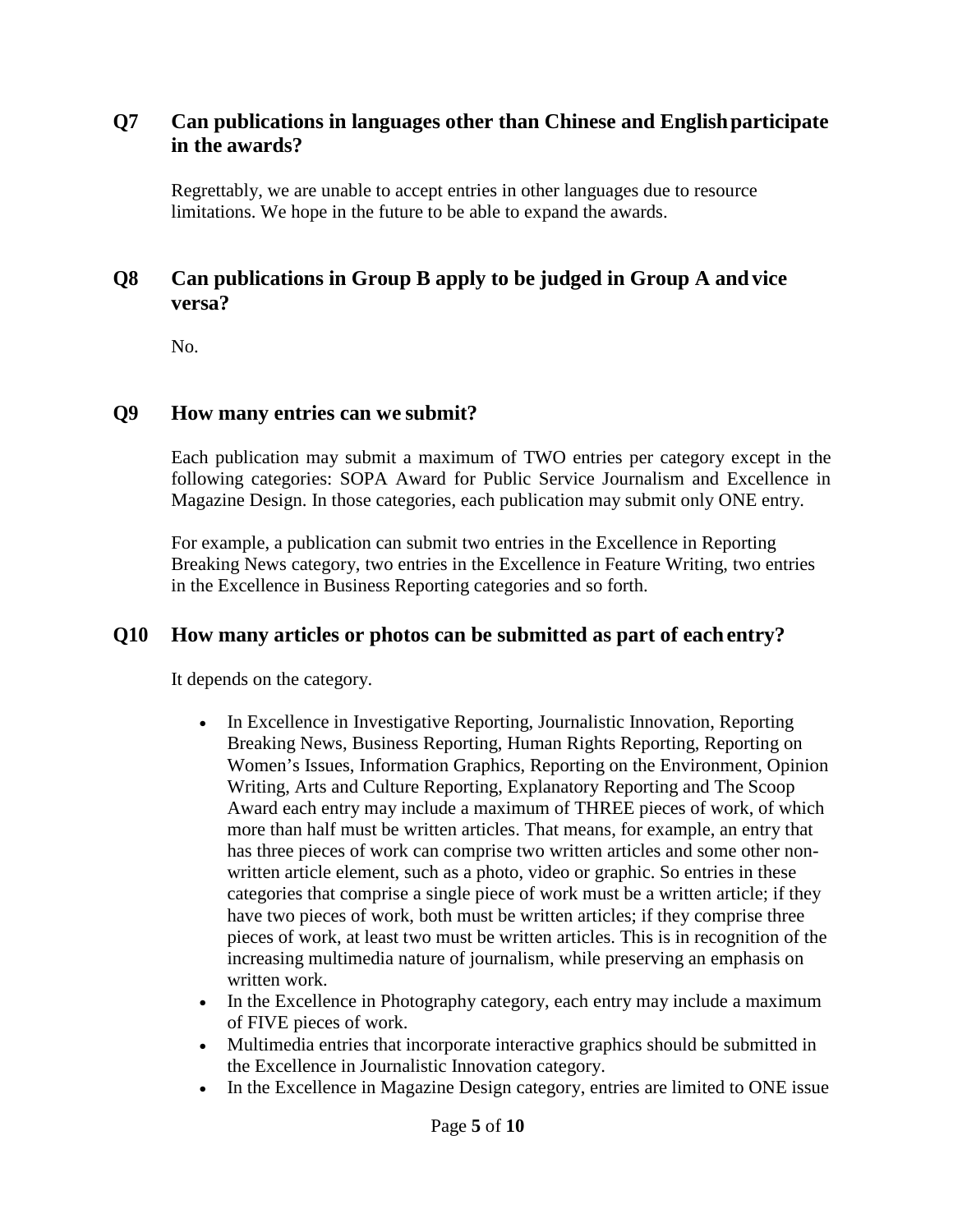## **Q7 Can publications in languages other than Chinese and Englishparticipate in the awards?**

Regrettably, we are unable to accept entries in other languages due to resource limitations. We hope in the future to be able to expand the awards.

## **Q8 Can publications in Group B apply to be judged in Group A and vice versa?**

No.

#### **Q9 How many entries can we submit?**

Each publication may submit a maximum of TWO entries per category except in the following categories: SOPA Award for Public Service Journalism and Excellence in Magazine Design. In those categories, each publication may submit only ONE entry.

For example, a publication can submit two entries in the Excellence in Reporting Breaking News category, two entries in the Excellence in Feature Writing, two entries in the Excellence in Business Reporting categories and so forth.

#### **Q10 How many articles or photos can be submitted as part of eachentry?**

It depends on the category.

- In Excellence in Investigative Reporting, Journalistic Innovation, Reporting Breaking News, Business Reporting, Human Rights Reporting, Reporting on Women's Issues, Information Graphics, Reporting on the Environment, Opinion Writing, Arts and Culture Reporting, Explanatory Reporting and The Scoop Award each entry may include a maximum of THREE pieces of work, of which more than half must be written articles. That means, for example, an entry that has three pieces of work can comprise two written articles and some other nonwritten article element, such as a photo, video or graphic. So entries in these categories that comprise a single piece of work must be a written article; if they have two pieces of work, both must be written articles; if they comprise three pieces of work, at least two must be written articles. This is in recognition of the increasing multimedia nature of journalism, while preserving an emphasis on written work.
- In the Excellence in Photography category, each entry may include a maximum of FIVE pieces of work.
- Multimedia entries that incorporate interactive graphics should be submitted in the Excellence in Journalistic Innovation category.
- In the Excellence in Magazine Design category, entries are limited to ONE issue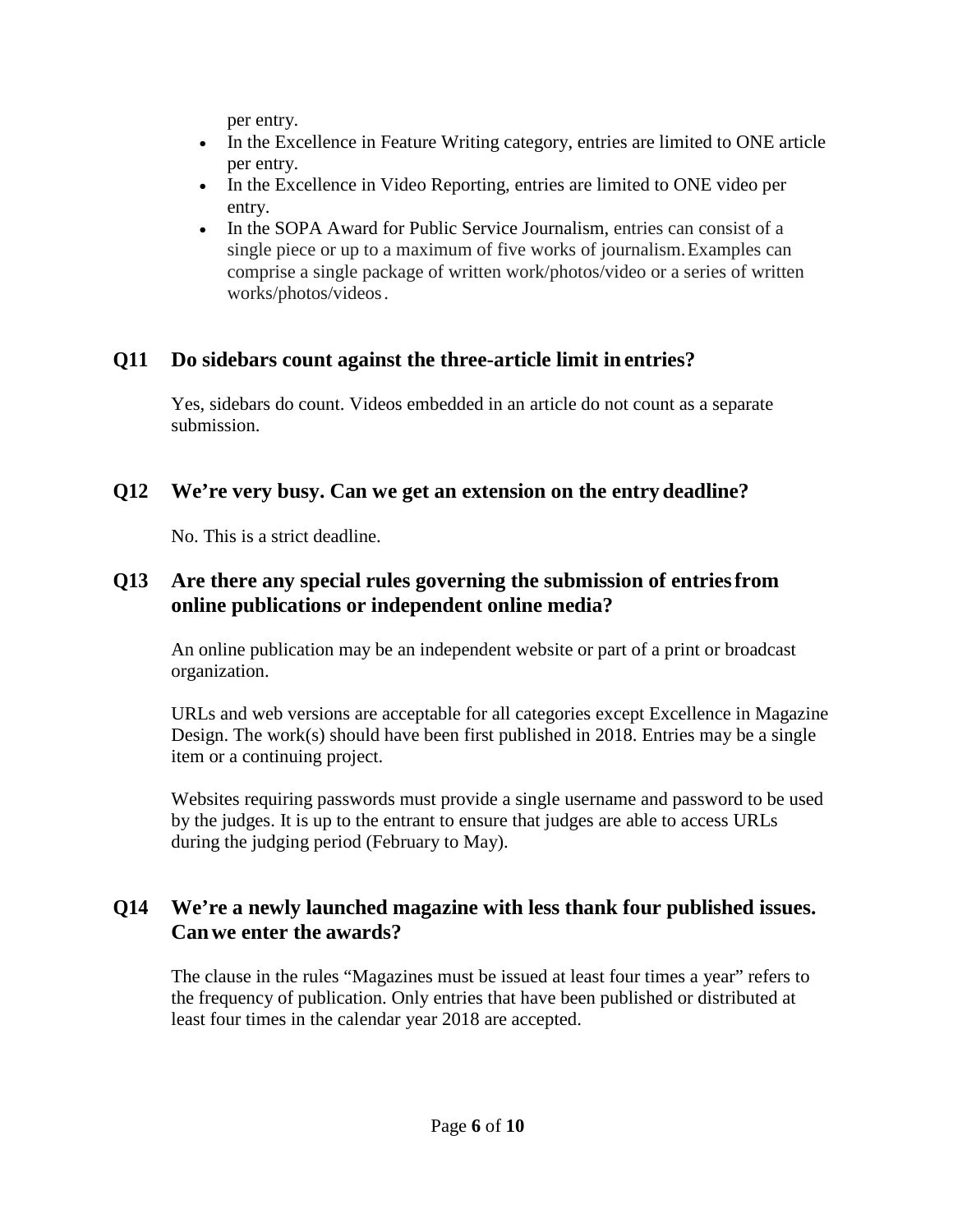per entry.

- In the Excellence in Feature Writing category, entries are limited to ONE article per entry.
- In the Excellence in Video Reporting, entries are limited to ONE video per entry.
- In the SOPA Award for Public Service Journalism, entries can consist of a single piece or up to a maximum of five works of journalism.Examples can comprise a single package of written work/photos/video or a series of written works/photos/videos.

# **Q11 Do sidebars count against the three-article limit in entries?**

Yes, sidebars do count. Videos embedded in an article do not count as a separate submission.

# **Q12 We're very busy. Can we get an extension on the entry deadline?**

No. This is a strict deadline.

## **Q13 Are there any special rules governing the submission of entriesfrom online publications or independent online media?**

An online publication may be an independent website or part of a print or broadcast organization.

URLs and web versions are acceptable for all categories except Excellence in Magazine Design. The work(s) should have been first published in 2018. Entries may be a single item or a continuing project.

Websites requiring passwords must provide a single username and password to be used by the judges. It is up to the entrant to ensure that judges are able to access URLs during the judging period (February to May).

## **Q14 We're a newly launched magazine with less thank four published issues. Canwe enter the awards?**

The clause in the rules "Magazines must be issued at least four times a year" refers to the frequency of publication. Only entries that have been published or distributed at least four times in the calendar year 2018 are accepted.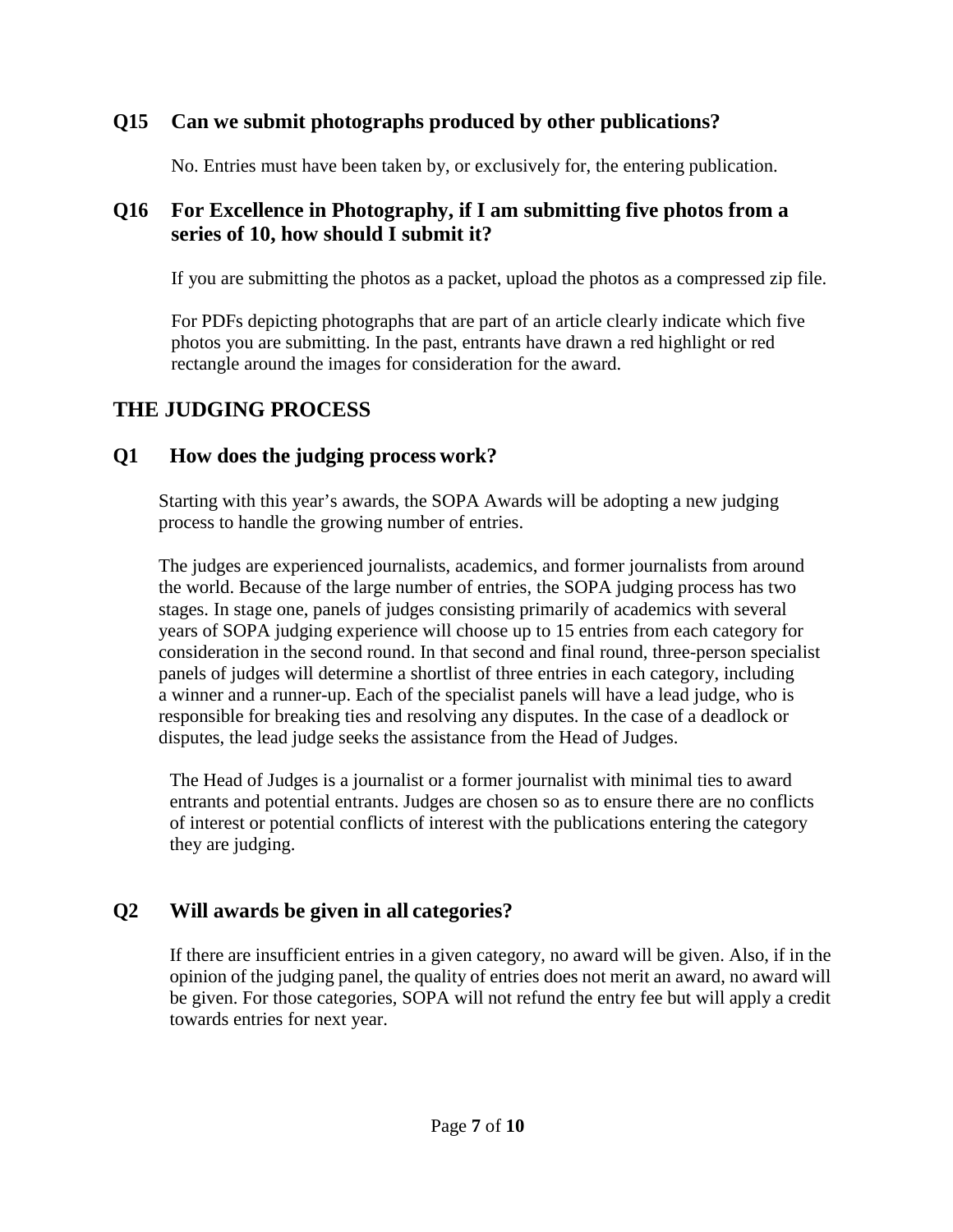## **Q15 Can we submit photographs produced by other publications?**

No. Entries must have been taken by, or exclusively for, the entering publication.

## **Q16 For Excellence in Photography, if I am submitting five photos from a series of 10, how should I submit it?**

If you are submitting the photos as a packet, upload the photos as a compressed zip file.

For PDFs depicting photographs that are part of an article clearly indicate which five photos you are submitting. In the past, entrants have drawn a red highlight or red rectangle around the images for consideration for the award.

# **THE JUDGING PROCESS**

## **Q1 How does the judging process work?**

Starting with this year's awards, the SOPA Awards will be adopting a new judging process to handle the growing number of entries.

The judges are experienced journalists, academics, and former journalists from around the world. Because of the large number of entries, the SOPA judging process has two stages. In stage one, panels of judges consisting primarily of academics with several years of SOPA judging experience will choose up to 15 entries from each category for consideration in the second round. In that second and final round, three-person specialist panels of judges will determine a shortlist of three entries in each category, including a winner and a runner-up. Each of the specialist panels will have a lead judge, who is responsible for breaking ties and resolving any disputes. In the case of a deadlock or disputes, the lead judge seeks the assistance from the Head of Judges.

The Head of Judges is a journalist or a former journalist with minimal ties to award entrants and potential entrants. Judges are chosen so as to ensure there are no conflicts of interest or potential conflicts of interest with the publications entering the category they are judging.

## **Q2 Will awards be given in all categories?**

If there are insufficient entries in a given category, no award will be given. Also, if in the opinion of the judging panel, the quality of entries does not merit an award, no award will be given. For those categories, SOPA will not refund the entry fee but will apply a credit towards entries for next year.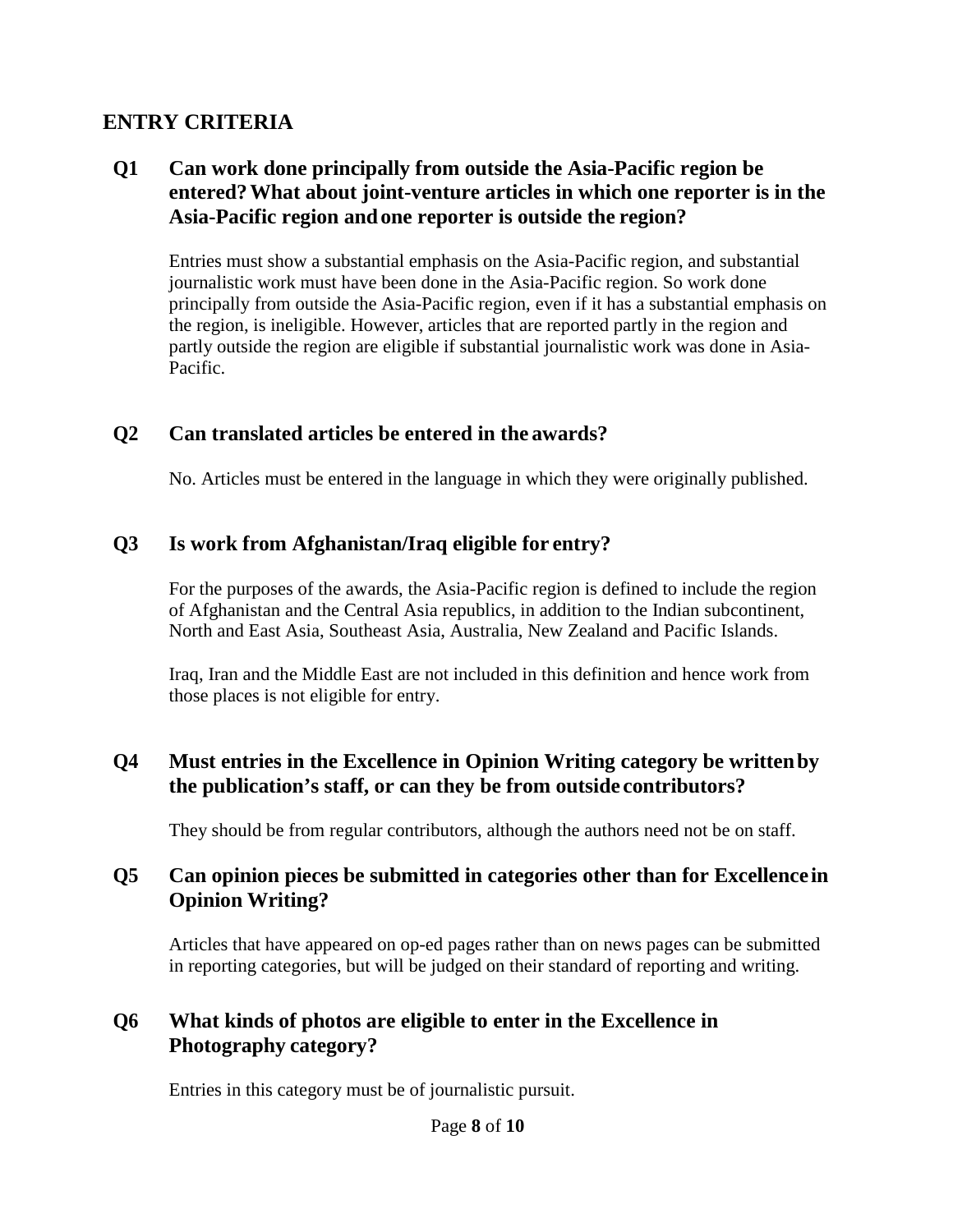## **ENTRY CRITERIA**

## **Q1 Can work done principally from outside the Asia-Pacific region be entered?What about joint-venture articles in which one reporter is in the Asia-Pacific region andone reporter is outside the region?**

Entries must show a substantial emphasis on the Asia-Pacific region, and substantial journalistic work must have been done in the Asia-Pacific region. So work done principally from outside the Asia-Pacific region, even if it has a substantial emphasis on the region, is ineligible. However, articles that are reported partly in the region and partly outside the region are eligible if substantial journalistic work was done in Asia-Pacific.

## **Q2 Can translated articles be entered in the awards?**

No. Articles must be entered in the language in which they were originally published.

## **Q3 Is work from Afghanistan/Iraq eligible for entry?**

For the purposes of the awards, the Asia-Pacific region is defined to include the region of Afghanistan and the Central Asia republics, in addition to the Indian subcontinent, North and East Asia, Southeast Asia, Australia, New Zealand and Pacific Islands.

Iraq, Iran and the Middle East are not included in this definition and hence work from those places is not eligible for entry.

## **Q4 Must entries in the Excellence in Opinion Writing category be writtenby the publication's staff, or can they be from outside contributors?**

They should be from regular contributors, although the authors need not be on staff.

#### **Q5 Can opinion pieces be submitted in categories other than for Excellence in Opinion Writing?**

Articles that have appeared on op-ed pages rather than on news pages can be submitted in reporting categories, but will be judged on their standard of reporting and writing.

## **Q6 What kinds of photos are eligible to enter in the Excellence in Photography category?**

Entries in this category must be of journalistic pursuit.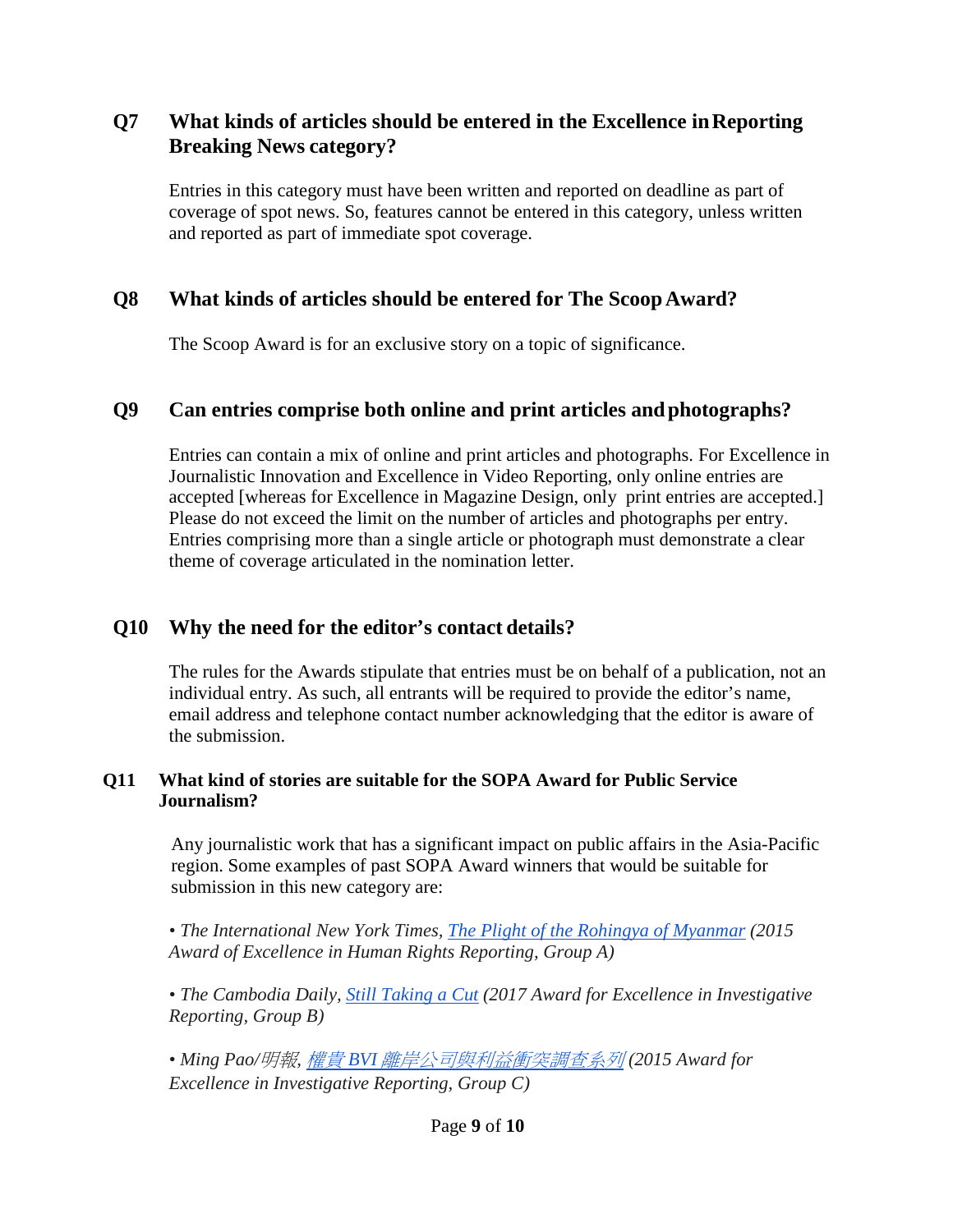## **Q7 What kinds of articles should be entered in the Excellence inReporting Breaking News category?**

Entries in this category must have been written and reported on deadline as part of coverage of spot news. So, features cannot be entered in this category, unless written and reported as part of immediate spot coverage.

## **Q8 What kinds of articles should be entered for The ScoopAward?**

The Scoop Award is for an exclusive story on a topic of significance.

#### **Q9 Can entries comprise both online and print articles andphotographs?**

Entries can contain a mix of online and print articles and photographs. For Excellence in Journalistic Innovation and Excellence in Video Reporting, only online entries are accepted [whereas for Excellence in Magazine Design, only print entries are accepted.] Please do not exceed the limit on the number of articles and photographs per entry. Entries comprising more than a single article or photograph must demonstrate a clear theme of coverage articulated in the nomination letter.

## **Q10 Why the need for the editor's contact details?**

The rules for the Awards stipulate that entries must be on behalf of a publication, not an individual entry. As such, all entrants will be required to provide the editor's name, email address and telephone contact number acknowledging that the editor is aware of the submission.

#### **Q11 What kind of stories are suitable for the SOPA Award for Public Service Journalism?**

Any journalistic work that has a significant impact on public affairs in the Asia-Pacific region. Some examples of past SOPA Award winners that would be suitable for submission in this new category are:

*• The International New York Times, [The Plight of the Rohingya of Myanmar](https://2015.sopawards.com/wp-content/uploads/2012/11/The-Plight-of-the-Rohingya-of-Myanmar.pdf) (2015 Award of Excellence in Human Rights Reporting, Group A)*

*• The Cambodia Daily, [Still Taking a Cut](https://2017.sopawards.com/wp-content/uploads/2017/03/Still-Taking-a-Cut.pdf) (2017 Award for Excellence in Investigative Reporting, Group B)*

*• Ming Pao/*明報*,* 權貴 *BVI* [離岸公司與利益衝突調查系列](https://2015.sopawards.com/wp-content/uploads/2012/11/%E6%AC%8A%E8%B2%B4BVI%E9%9B%A2%E5%B2%B8%E5%85%AC%E5%8F%B8%E8%88%87%E5%88%A9%E7%9B%8A%E8%A1%9D%E7%AA%81%E8%AA%BF%E6%9F%A5%E7%B3%BB%E5%88%97.pdf) *(2015 Award for Excellence in Investigative Reporting, Group C)*